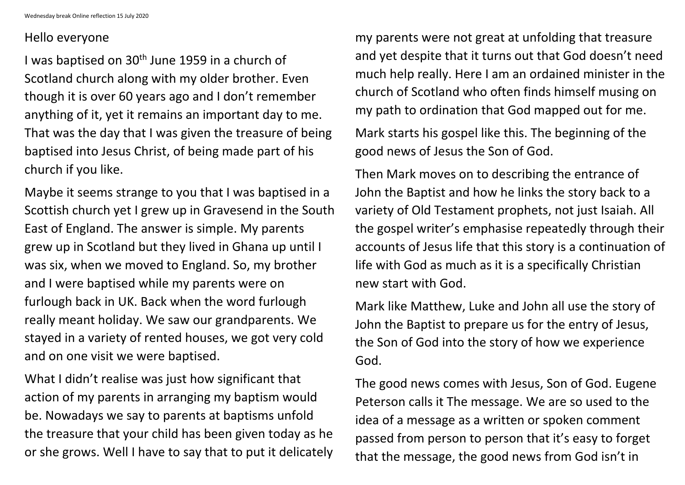## Hello everyone

I was baptised on 30<sup>th</sup> June 1959 in a church of Scotland church along with my older brother. Even though it is over 60 years ago and I don't remember anything of it, yet it remains an important day to me. That was the day that I was given the treasure of being baptised into Jesus Christ, of being made part of his church if you like.

Maybe it seems strange to you that I was baptised in a Scottish church yet I grew up in Gravesend in the South East of England. The answer is simple. My parents grew up in Scotland but they lived in Ghana up until I was six, when we moved to England. So, my brother and I were baptised while my parents were on furlough back in UK. Back when the word furlough really meant holiday. We saw our grandparents. We stayed in a variety of rented houses, we got very cold and on one visit we were baptised.

What I didn't realise was just how significant that action of my parents in arranging my baptism would be. Nowadays we say to parents at baptisms unfold the treasure that your child has been given today as he or she grows. Well I have to say that to put it delicately my parents were not great at unfolding that treasure and yet despite that it turns out that God doesn't need much help really. Here I am an ordained minister in the church of Scotland who often finds himself musing on my path to ordination that God mapped out for me.

Mark starts his gospel like this. The beginning of the good news of Jesus the Son of God.

Then Mark moves on to describing the entrance of John the Baptist and how he links the story back to a variety of Old Testament prophets, not just Isaiah. All the gospel writer's emphasise repeatedly through their accounts of Jesus life that this story is a continuation of life with God as much as it is a specifically Christian new start with God.

Mark like Matthew, Luke and John all use the story of John the Baptist to prepare us for the entry of Jesus, the Son of God into the story of how we experience God.

The good news comes with Jesus, Son of God. Eugene Peterson calls it The message. We are so used to the idea of a message as a written or spoken comment passed from person to person that it's easy to forget that the message, the good news from God isn't in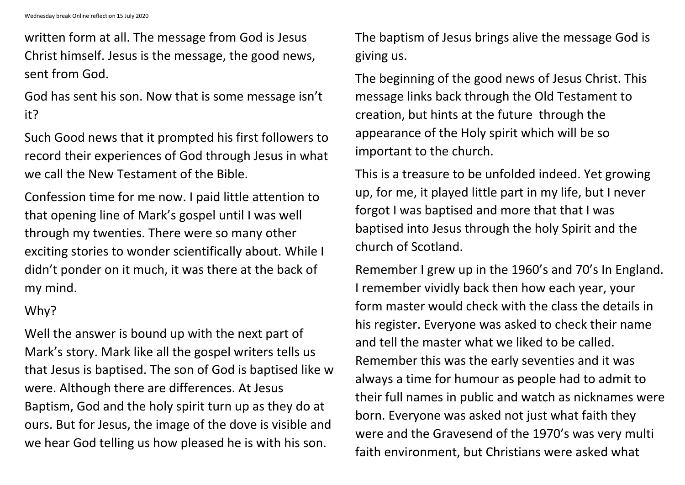written form at all. The message from God is Jesus Christ himself. Jesus is the message, the good news, sent from God.

God has sent his son. Now that is some message isn't it?

Such Good news that it prompted his first followers to record their experiences of God through Jesus in what we call the New Testament of the Bible.

Confession time for me now. I paid little attention to that opening line of Mark's gospel until I was well through my twenties. There were so many other exciting stories to wonder scientifically about. While I didn't ponder on it much, it was there at the back of my mind.

## Why?

Well the answer is bound up with the next part of Mark's story. Mark like all the gospel writers tells us that Jesus is baptised. The son of God is baptised like w were. Although there are differences. At Jesus Baptism, God and the holy spirit turn up as they do at ours. But for Jesus, the image of the dove is visible and we hear God telling us how pleased he is with his son.

The baptism of Jesus brings alive the message God is giving us.

The beginning of the good news of Jesus Christ. This message links back through the Old Testament to creation, but hints at the future through the appearance of the Holy spirit which will be so important to the church.

This is a treasure to be unfolded indeed. Yet growing up, for me, it played little part in my life, but I never forgot I was baptised and more that that I was baptised into Jesus through the holy Spirit and the church of Scotland.

Remember I grew up in the 1960's and 70's In England. I remember vividly back then how each year, your form master would check with the class the details in his register. Everyone was asked to check their name and tell the master what we liked to be called. Remember this was the early seventies and it was always a time for humour as people had to admit to their full names in public and watch as nicknames were born. Everyone was asked not just what faith they were and the Gravesend of the 1970's was very multi faith environment, but Christians were asked what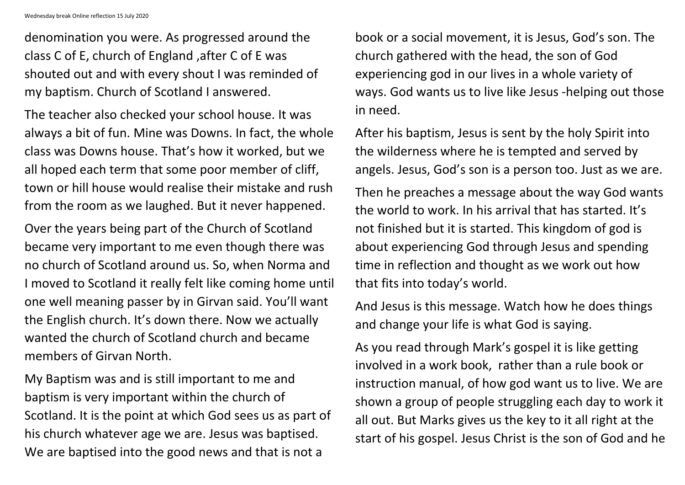Wednesday break Online reflection 15 July 2020

denomination you were. As progressed around the class C of E, church of England ,after C of E was shouted out and with every shout I was reminded of my baptism. Church of Scotland I answered.

The teacher also checked your school house. It was always a bit of fun. Mine was Downs. In fact, the whole class was Downs house. That's how it worked, but we all hoped each term that some poor member of cliff, town or hill house would realise their mistake and rush from the room as we laughed. But it never happened.

Over the years being part of the Church of Scotland became very important to me even though there was no church of Scotland around us. So, when Norma and I moved to Scotland it really felt like coming home until one well meaning passer by in Girvan said. You'll want the English church. It's down there. Now we actually wanted the church of Scotland church and became members of Girvan North.

My Baptism was and is still important to me and baptism is very important within the church of Scotland. It is the point at which God sees us as part of his church whatever age we are. Jesus was baptised. We are baptised into the good news and that is not a

book or a social movement, it is Jesus, God's son. The church gathered with the head, the son of God experiencing god in our lives in a whole variety of ways. God wants us to live like Jesus -helping out those in need.

After his baptism, Jesus is sent by the holy Spirit into the wilderness where he is tempted and served by angels. Jesus, God's son is a person too. Just as we are.

Then he preaches a message about the way God wants the world to work. In his arrival that has started. It's not finished but it is started. This kingdom of god is about experiencing God through Jesus and spending time in reflection and thought as we work out how that fits into today's world.

And Jesus is this message. Watch how he does things and change your life is what God is saying.

As you read through Mark's gospel it is like getting involved in a work book, rather than a rule book or instruction manual, of how god want us to live. We are shown a group of people struggling each day to work it all out. But Marks gives us the key to it all right at the start of his gospel. Jesus Christ is the son of God and he